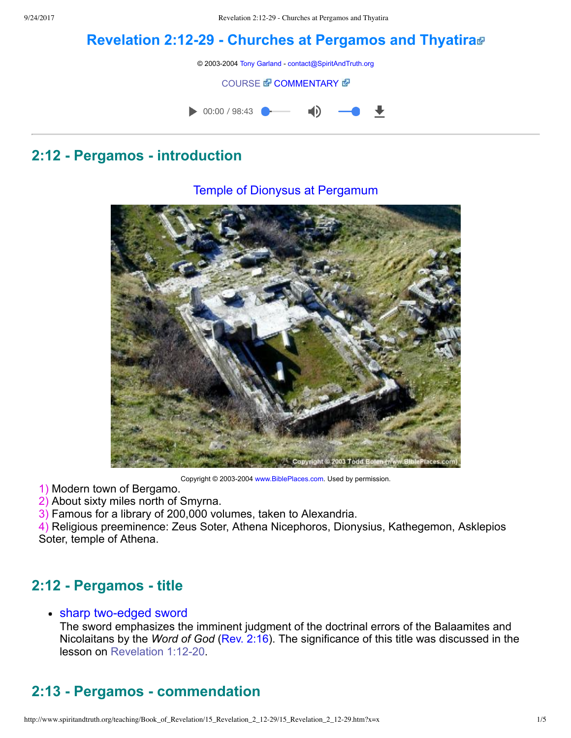# **[Revelation](http://www.spiritandtruth.org/teaching/Book_of_Revelation/15_Revelation_2_12-29/index.htm) 2:1229 Churches at Pergamos and Thyatira**

© 2003-2004 [Tony Garland](http://www.spiritandtruth.org/teaching/teachers/tony_garland/bio.htm) - [contact@SpiritAndTruth.org](mailto:contact@SpiritAndTruth.org?subject=ST-MAIL:%20Revelation%202:12-29%20-%20Churches%20at%20Pergamos%20and%20Thyatira)

#### **[COURSE](http://www.spiritandtruth.org/teaching/Book_of_Revelation/15_Revelation_2_12-29/index.htm) & [COMMENTARY](http://www.spiritandtruth.org/teaching/Book_of_Revelation/commentary/htm/index.html?Revelation_2:12) &**



Temple of Dionysus at Pergamum

## **2:12 Pergamos introduction**

Copyright © 2003-2004 [www.BiblePlaces.com](http://www.bibleplaces.com/). Used by permission.

1) Modern town of Bergamo.

2) About sixty miles north of Smyrna.

3) Famous for a library of 200,000 volumes, taken to Alexandria.

4) Religious preeminence: Zeus Soter, Athena Nicephoros, Dionysius, Kathegemon, Asklepios Soter, temple of Athena.

# **2:12 Pergamos title**

#### • sharp two-edged sword

The sword emphasizes the imminent judgment of the doctrinal errors of the Balaamites and Nicolaitans by the *Word of God* [\(Rev. 2:16](http://www.spiritandtruth.org/bibles/nasb/b66c002.htm#Rev._C2V16)). The significance of this title was discussed in the lesson on Revelation 1:12-20.

# **2:13 Pergamos commendation**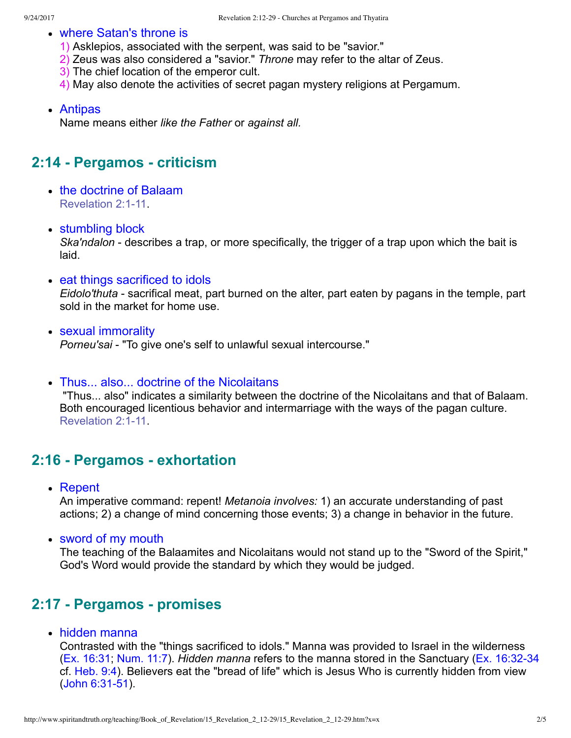- where Satan's throne is
	- 1) Asklepios, associated with the serpent, was said to be "savior."
	- 2) Zeus was also considered a "savior." *Throne* may refer to the altar of Zeus.
	- 3) The chief location of the emperor cult.
	- 4) May also denote the activities of secret pagan mystery religions at Pergamum.
- Antipas

Name means either *like the Father* or *against all.*

## **2:14 Pergamos criticism**

- the doctrine of Balaam Revelation 2:1-11
- stumbling block

*Ska'ndalon* - describes a trap, or more specifically, the trigger of a trap upon which the bait is laid.

• eat things sacrificed to idols

*Eidolo'thuta*  sacrifical meat, part burned on the alter, part eaten by pagans in the temple, part sold in the market for home use.

- sexual immorality *Porneu'sai*  "To give one's self to unlawful sexual intercourse."
- Thus... also... doctrine of the Nicolaitans

 "Thus... also" indicates a similarity between the doctrine of the Nicolaitans and that of Balaam. Both encouraged licentious behavior and intermarriage with the ways of the pagan culture. Revelation 2:1-11.

#### **2:16 Pergamos exhortation**

Repent

An imperative command: repent! *Metanoia involves:* 1) an accurate understanding of past actions; 2) a change of mind concerning those events; 3) a change in behavior in the future.

sword of my mouth

The teaching of the Balaamites and Nicolaitans would not stand up to the "Sword of the Spirit," God's Word would provide the standard by which they would be judged.

## **2:17 Pergamos promises**

hidden manna

Contrasted with the "things sacrificed to idols." Manna was provided to Israel in the wilderness [\(Ex. 16:31;](http://www.spiritandtruth.org/bibles/nasb/b02c016.htm#Ex._C16V31) [Num. 11:7\)](http://www.spiritandtruth.org/bibles/nasb/b04c011.htm#Num._C11V7). *Hidden manna* refers to the manna stored in the Sanctuary (Ex. 16:32-34) cf. [Heb. 9:4\)](http://www.spiritandtruth.org/bibles/nasb/b58c009.htm#Heb._C9V4). Believers eat the "bread of life" which is Jesus Who is currently hidden from view  $(John 6:31-51).$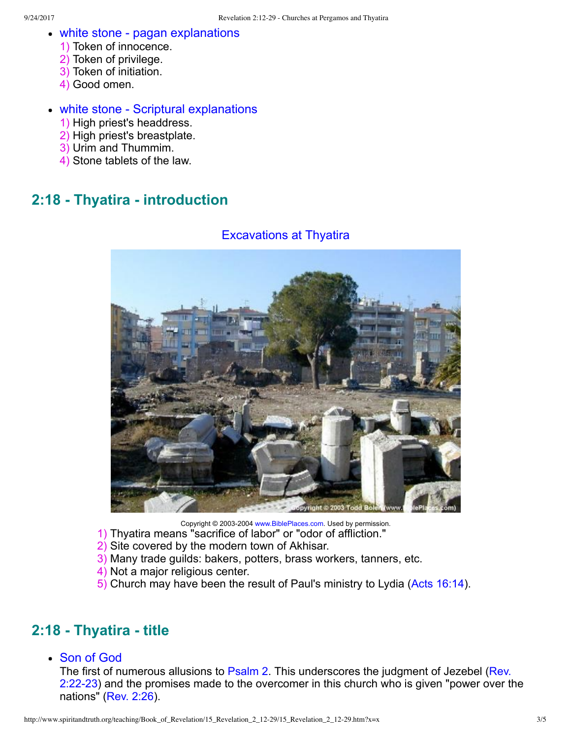- white stone pagan explanations
	- 1) Token of innocence.
	- 2) Token of privilege.
	- 3) Token of initiation.
	- 4) Good omen.

#### • white stone - Scriptural explanations

- 1) High priest's headdress.
- 2) High priest's breastplate.
- 3) Urim and Thummim.
- 4) Stone tablets of the law.

## **2:18 Thyatira introduction**

#### Excavations at Thyatira



Copyright © 2003-2004 [www.BiblePlaces.com](http://www.bibleplaces.com/). Used by permission.

- 1) Thyatira means "sacrifice of labor" or "odor of affliction."
- 2) Site covered by the modern town of Akhisar.
- 3) Many trade guilds: bakers, potters, brass workers, tanners, etc.
- 4) Not a major religious center.
- 5) Church may have been the result of Paul's ministry to Lydia [\(Acts 16:14\)](http://www.spiritandtruth.org/bibles/nasb/b44c016.htm#Acts_C16V14).

## **2:18 Thyatira title**

Son of God

[The first of numerous allusions to](http://www.spiritandtruth.org/bibles/nasb/b66c002.htm#Rev._C2V22) [Psalm 2](http://www.spiritandtruth.org/bibles/nasb/b19c002.htm#Ps._C2V1)[. This underscores the judgment of Jezebel \(Rev.](http://www.spiritandtruth.org/bibles/nasb/b66c002.htm#Rev._C2V22) 2:2223) and the promises made to the overcomer in this church who is given "power over the nations" [\(Rev. 2:26\)](http://www.spiritandtruth.org/bibles/nasb/b66c002.htm#Rev._C2V26).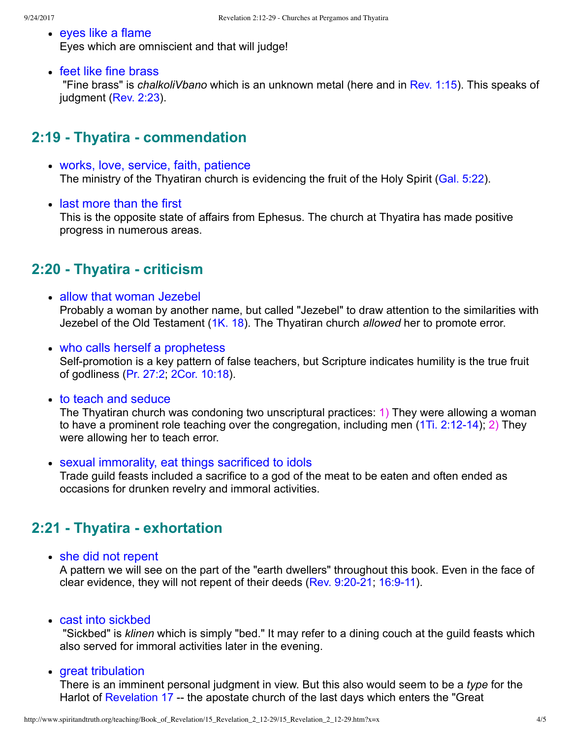- eyes like a flame Eyes which are omniscient and that will judge!
- feet like fine brass

 "Fine brass" is *chalkoliVbano* which is an unknown metal (here and in [Rev. 1:15](http://www.spiritandtruth.org/bibles/nasb/b66c001.htm#Rev._C1V15)). This speaks of judgment ([Rev. 2:23](http://www.spiritandtruth.org/bibles/nasb/b66c002.htm#Rev._C2V23)).

# **2:19 Thyatira commendation**

- works, love, service, faith, patience The ministry of the Thyatiran church is evidencing the fruit of the Holy Spirit ([Gal. 5:22](http://www.spiritandtruth.org/bibles/nasb/b48c005.htm#Gal._C5V22)).
- last more than the first

This is the opposite state of affairs from Ephesus. The church at Thyatira has made positive progress in numerous areas.

# **2:20 Thyatira criticism**

- allow that woman Jezebel Probably a woman by another name, but called "Jezebel" to draw attention to the similarities with Jezebel of the Old Testament ([1K. 18](http://www.spiritandtruth.org/bibles/nasb/b11c018.htm#1K._C18V1)). The Thyatiran church *allowed* her to promote error.
- who calls herself a prophetess Self-promotion is a key pattern of false teachers, but Scripture indicates humility is the true fruit of godliness [\(Pr. 27:2;](http://www.spiritandtruth.org/bibles/nasb/b20c027.htm#Pr._C27V2) [2Cor. 10:18\)](http://www.spiritandtruth.org/bibles/nasb/b47c010.htm#2Cor._C10V18).
- to teach and seduce

The Thyatiran church was condoning two unscriptural practices: 1) They were allowing a woman to have a prominent role teaching over the congregation, including men  $(1Ti. 2:12-14)$ ; 2) They were allowing her to teach error.

sexual immorality, eat things sacrificed to idols

Trade guild feasts included a sacrifice to a god of the meat to be eaten and often ended as occasions for drunken revelry and immoral activities.

# **2:21 Thyatira exhortation**

• she did not repent

A pattern we will see on the part of the "earth dwellers" throughout this book. Even in the face of clear evidence, they will not repent of their deeds (Rev. 9:20-21; 16:9-11).

• cast into sickbed

 "Sickbed" is *klinen* which is simply "bed." It may refer to a dining couch at the guild feasts which also served for immoral activities later in the evening.

• great tribulation

There is an imminent personal judgment in view. But this also would seem to be a *type* for the Harlot of [Revelation 17](http://www.spiritandtruth.org/bibles/nasb/b66c017.htm#Rev._C17V1) -- the apostate church of the last days which enters the "Great"